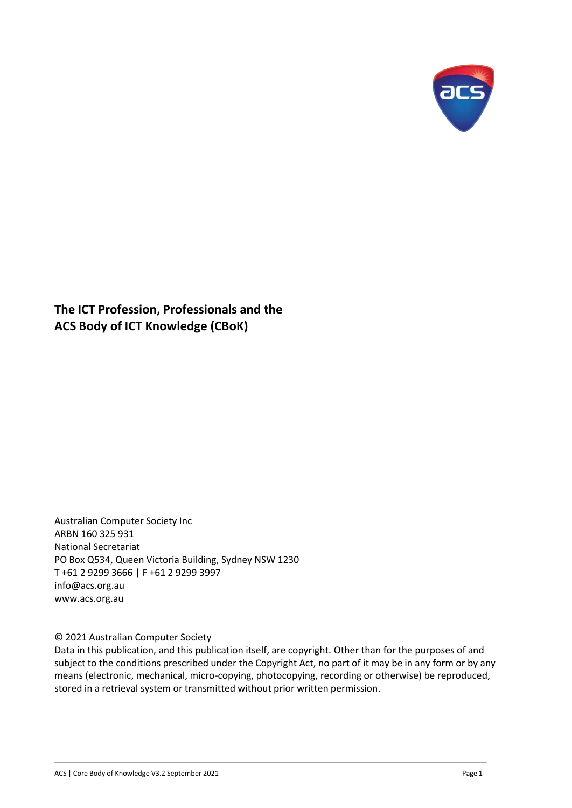

**The ICT Profession, Professionals and the ACS Body of ICT Knowledge (CBoK)**

Australian Computer Society Inc ARBN 160 325 931 National Secretariat PO Box Q534, Queen Victoria Building, Sydney NSW 1230 T +61 2 9299 3666 | F +61 2 9299 3997 [info@acs.org.au](mailto:info@acs.org.au) [www.acs.org.au](http://www.acs.org.au/)

© 2021 Australian Computer Society

Data in this publication, and this publication itself, are copyright. Other than for the purposes of and subject to the conditions prescribed under the Copyright Act, no part of it may be in any form or by any means (electronic, mechanical, micro-copying, photocopying, recording or otherwise) be reproduced, stored in a retrieval system or transmitted without prior written permission.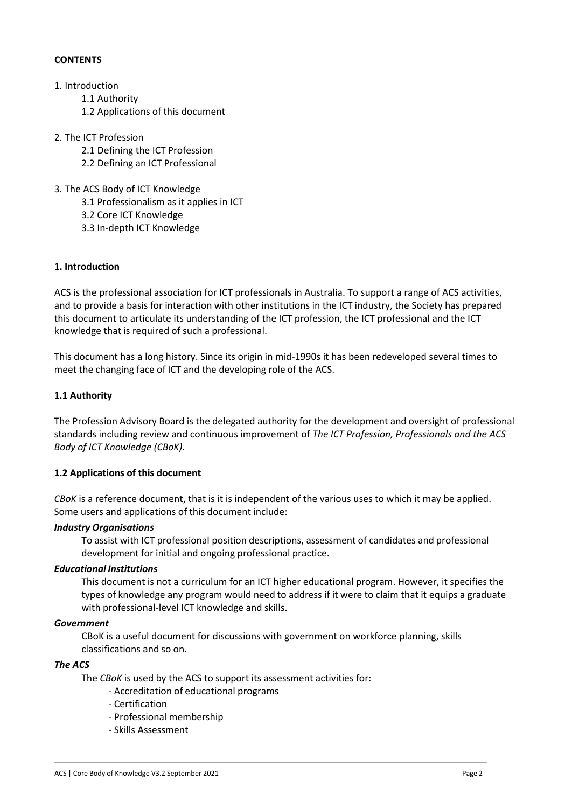## **CONTENTS**

## 1. Introduction

- 1.1 Authority
- 1.2 Applications of this document
- 2. The ICT Profession
	- 2.1 Defining the ICT Profession
	- 2.2 Defining an ICT Professional
- 3. The ACS Body of ICT Knowledge
	- 3.1 Professionalism as it applies in ICT
	- 3.2 Core ICT Knowledge
	- 3.3 In-depth ICT Knowledge

#### **1. Introduction**

ACS is the professional association for ICT professionals in Australia. To support a range of ACS activities, and to provide a basis for interaction with other institutions in the ICT industry, the Society has prepared this document to articulate its understanding of the ICT profession, the ICT professional and the ICT knowledge that is required of such a professional.

This document has a long history. Since its origin in mid-1990s it has been redeveloped several times to meet the changing face of ICT and the developing role of the ACS.

## **1.1 Authority**

The Profession Advisory Board is the delegated authority for the development and oversight of professional standards including review and continuous improvement of *The ICT Profession, Professionals and the ACS Body of ICT Knowledge (CBoK)*.

#### **1.2 Applications of this document**

*CBoK* is a reference document, that is it is independent of the various uses to which it may be applied. Some users and applications of this document include:

#### *Industry Organisations*

To assist with ICT professional position descriptions, assessment of candidates and professional development for initial and ongoing professional practice.

#### *Educational Institutions*

This document is not a curriculum for an ICT higher educational program. However, it specifies the types of knowledge any program would need to address if it were to claim that it equips a graduate with professional-level ICT knowledge and skills.

#### *Government*

CBoK is a useful document for discussions with government on workforce planning, skills classifications and so on.

#### *The ACS*

The *CBoK* is used by the ACS to support its assessment activities for:

- Accreditation of educational programs
- Certification
- Professional membership
- Skills Assessment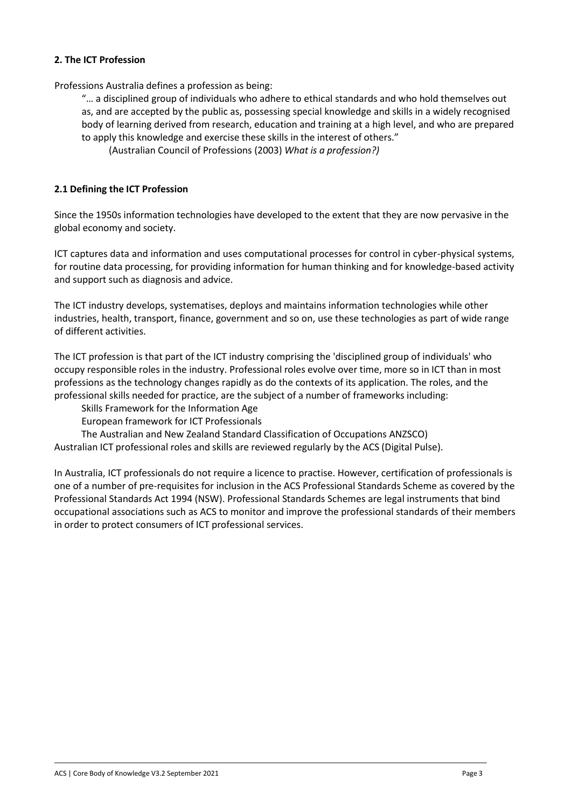## **2. The ICT Profession**

Professions Australia defines a profession as being:

"… a disciplined group of individuals who adhere to ethical standards and who hold themselves out as, and are accepted by the public as, possessing special knowledge and skills in a widely recognised body of learning derived from research, education and training at a high level, and who are prepared to apply this knowledge and exercise these skills in the interest of others."

(Australian Council of Professions (2003) *What is a profession?)*

## **2.1 Defining the ICT Profession**

Since the 1950s information technologies have developed to the extent that they are now pervasive in the global economy and society.

ICT captures data and information and uses computational processes for control in cyber-physical systems, for routine data processing, for providing information for human thinking and for knowledge-based activity and support such as diagnosis and advice.

The ICT industry develops, systematises, deploys and maintains information technologies while other industries, health, transport, finance, government and so on, use these technologies as part of wide range of different activities.

The ICT profession is that part of the ICT industry comprising the 'disciplined group of individuals' who occupy responsible roles in the industry. Professional roles evolve over time, more so in ICT than in most professions as the technology changes rapidly as do the contexts of its application. The roles, and the professional skills needed for practice, are the subject of a number of frameworks including:

Skills Framework for the Information Age

European framework for ICT Professionals

The Australian and New Zealand Standard Classification of Occupations ANZSCO)

Australian ICT professional roles and skills are reviewed regularly by the ACS (Digital Pulse).

In Australia, ICT professionals do not require a licence to practise. However, certification of professionals is one of a number of pre-requisites for inclusion in the ACS Professional Standards Scheme as covered by the Professional Standards Act 1994 (NSW). Professional Standards Schemes are legal instruments that bind occupational associations such as ACS to monitor and improve the professional standards of their members in order to protect consumers of ICT professional services.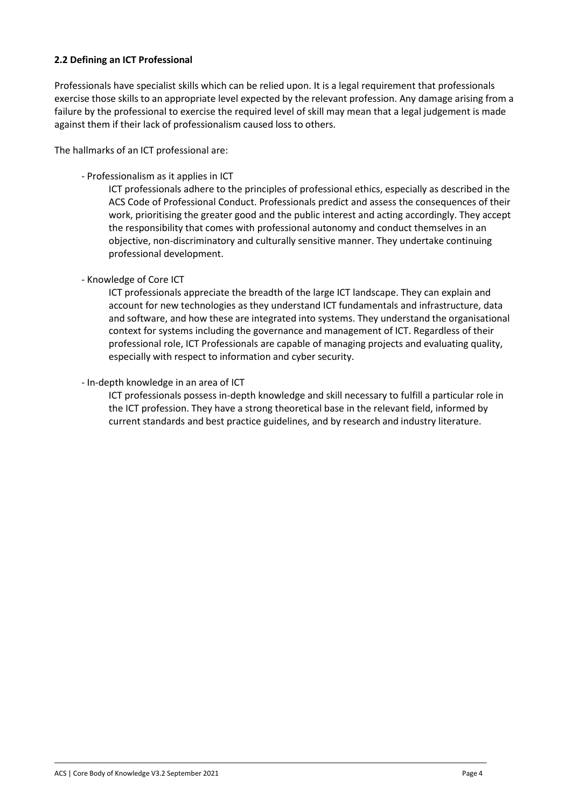## **2.2 Defining an ICT Professional**

Professionals have specialist skills which can be relied upon. It is a legal requirement that professionals exercise those skills to an appropriate level expected by the relevant profession. Any damage arising from a failure by the professional to exercise the required level of skill may mean that a legal judgement is made against them if their lack of professionalism caused loss to others.

The hallmarks of an ICT professional are:

- Professionalism as it applies in ICT

ICT professionals adhere to the principles of professional ethics, especially as described in the ACS Code of Professional Conduct. Professionals predict and assess the consequences of their work, prioritising the greater good and the public interest and acting accordingly. They accept the responsibility that comes with professional autonomy and conduct themselves in an objective, non-discriminatory and culturally sensitive manner. They undertake continuing professional development.

- Knowledge of Core ICT

ICT professionals appreciate the breadth of the large ICT landscape. They can explain and account for new technologies as they understand ICT fundamentals and infrastructure, data and software, and how these are integrated into systems. They understand the organisational context for systems including the governance and management of ICT. Regardless of their professional role, ICT Professionals are capable of managing projects and evaluating quality, especially with respect to information and cyber security.

- In-depth knowledge in an area of ICT

ICT professionals possess in-depth knowledge and skill necessary to fulfill a particular role in the ICT profession. They have a strong theoretical base in the relevant field, informed by current standards and best practice guidelines, and by research and industry literature.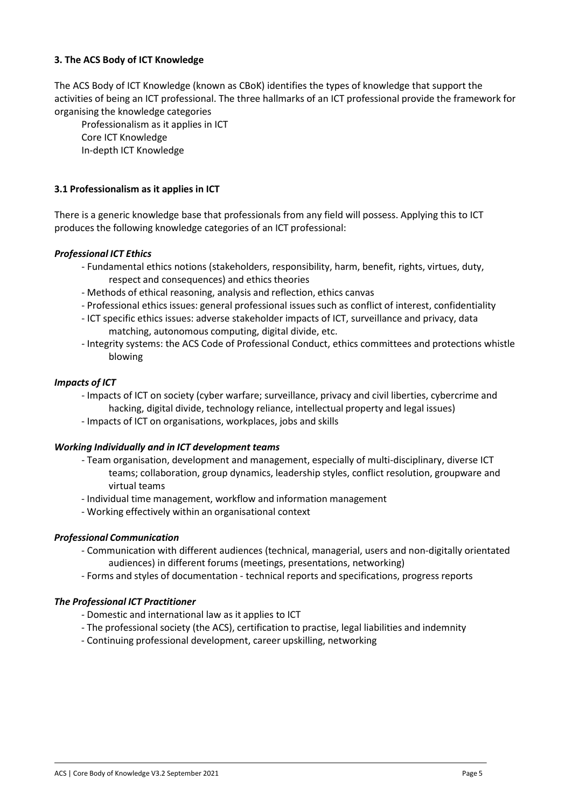## **3. The ACS Body of ICT Knowledge**

The ACS Body of ICT Knowledge (known as CBoK) identifies the types of knowledge that support the activities of being an ICT professional. The three hallmarks of an ICT professional provide the framework for organising the knowledge categories

Professionalism as it applies in ICT Core ICT Knowledge In-depth ICT Knowledge

## **3.1 Professionalism as it applies in ICT**

There is a generic knowledge base that professionals from any field will possess. Applying this to ICT produces the following knowledge categories of an ICT professional:

#### *Professional ICT Ethics*

- Fundamental ethics notions (stakeholders, responsibility, harm, benefit, rights, virtues, duty, respect and consequences) and ethics theories
- Methods of ethical reasoning, analysis and reflection, ethics canvas
- Professional ethics issues: general professional issuessuch as conflict of interest, confidentiality
- ICT specific ethics issues: adverse stakeholder impacts of ICT, surveillance and privacy, data matching, autonomous computing, digital divide, etc.
- Integrity systems: the ACS Code of Professional Conduct, ethics committees and protections whistle blowing

#### *Impacts of ICT*

- Impacts of ICT on society (cyber warfare; surveillance, privacy and civil liberties, cybercrime and hacking, digital divide, technology reliance, intellectual property and legal issues)
- Impacts of ICT on organisations, workplaces, jobs and skills

#### *Working Individually and in ICT development teams*

- Team organisation, development and management, especially of multi-disciplinary, diverse ICT teams; collaboration, group dynamics, leadership styles, conflict resolution, groupware and virtual teams
- Individual time management, workflow and information management
- Working effectively within an organisational context

#### *Professional Communication*

- Communication with different audiences (technical, managerial, users and non-digitally orientated audiences) in different forums (meetings, presentations, networking)
- Forms and styles of documentation technical reports and specifications, progress reports

#### *The Professional ICT Practitioner*

- Domestic and international law as it applies to ICT
- The professional society (the ACS), certification to practise, legal liabilities and indemnity
- Continuing professional development, career upskilling, networking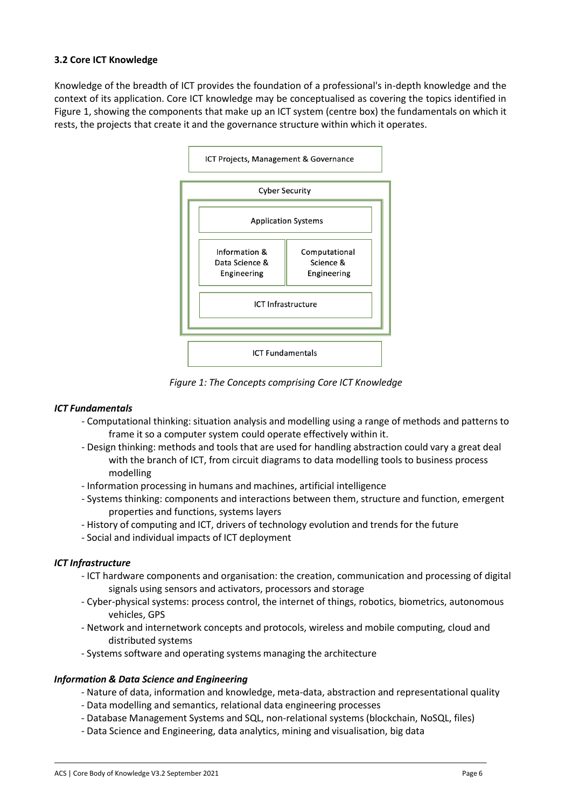# **3.2 Core ICT Knowledge**

Knowledge of the breadth of ICT provides the foundation of a professional's in-depth knowledge and the context of its application. Core ICT knowledge may be conceptualised as covering the topics identified in Figure 1, showing the components that make up an ICT system (centre box) the fundamentals on which it rests, the projects that create it and the governance structure within which it operates.



*Figure 1: The Concepts comprising Core ICT Knowledge*

# *ICT Fundamentals*

- Computational thinking: situation analysis and modelling using a range of methods and patterns to frame it so a computer system could operate effectively within it.
- Design thinking: methods and tools that are used for handling abstraction could vary a great deal with the branch of ICT, from circuit diagrams to data modelling tools to business process modelling
- Information processing in humans and machines, artificial intelligence
- Systems thinking: components and interactions between them, structure and function, emergent properties and functions, systems layers
- History of computing and ICT, drivers of technology evolution and trends for the future
- Social and individual impacts of ICT deployment

# *ICT Infrastructure*

- ICT hardware components and organisation: the creation, communication and processing of digital signals using sensors and activators, processors and storage
- Cyber-physical systems: process control, the internet of things, robotics, biometrics, autonomous vehicles, GPS
- Network and internetwork concepts and protocols, wireless and mobile computing, cloud and distributed systems
- Systems software and operating systems managing the architecture

#### *Information & Data Science and Engineering*

- Nature of data, information and knowledge, meta-data, abstraction and representational quality
- Data modelling and semantics, relational data engineering processes
- Database Management Systems and SQL, non-relational systems (blockchain, NoSQL, files)
- Data Science and Engineering, data analytics, mining and visualisation, big data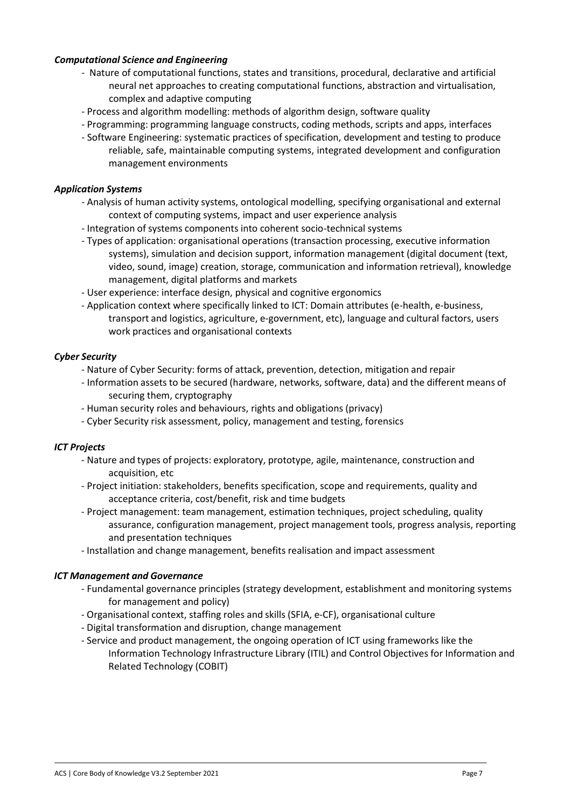## *Computational Science and Engineering*

- Nature of computational functions, states and transitions, procedural, declarative and artificial neural net approaches to creating computational functions, abstraction and virtualisation, complex and adaptive computing
- Process and algorithm modelling: methods of algorithm design, software quality
- Programming: programming language constructs, coding methods, scripts and apps, interfaces
- Software Engineering: systematic practices of specification, development and testing to produce reliable, safe, maintainable computing systems, integrated development and configuration management environments

### *Application Systems*

- Analysis of human activity systems, ontological modelling, specifying organisational and external context of computing systems, impact and user experience analysis
- Integration of systems components into coherent socio-technical systems
- Types of application: organisational operations (transaction processing, executive information systems), simulation and decision support, information management (digital document (text, video, sound, image) creation, storage, communication and information retrieval), knowledge management, digital platforms and markets
- User experience: interface design, physical and cognitive ergonomics
- Application context where specifically linked to ICT: Domain attributes (e-health, e-business, transport and logistics, agriculture, e-government, etc), language and cultural factors, users work practices and organisational contexts

#### *Cyber Security*

- Nature of Cyber Security: forms of attack, prevention, detection, mitigation and repair
- Information assets to be secured (hardware, networks, software, data) and the different means of securing them, cryptography
- Human security roles and behaviours, rights and obligations (privacy)
- Cyber Security risk assessment, policy, management and testing, forensics

#### *ICT Projects*

- Nature and types of projects: exploratory, prototype, agile, maintenance, construction and acquisition, etc
- Project initiation: stakeholders, benefits specification, scope and requirements, quality and acceptance criteria, cost/benefit, risk and time budgets
- Project management: team management, estimation techniques, project scheduling, quality assurance, configuration management, project management tools, progress analysis, reporting and presentation techniques
- Installation and change management, benefits realisation and impact assessment

#### *ICT Management and Governance*

- Fundamental governance principles (strategy development, establishment and monitoring systems for management and policy)
- Organisational context, staffing roles and skills (SFIA, e-CF), organisational culture
- Digital transformation and disruption, change management
- Service and product management, the ongoing operation of ICT using frameworks like the Information Technology Infrastructure Library (ITIL) and Control Objectives for Information and Related Technology (COBIT)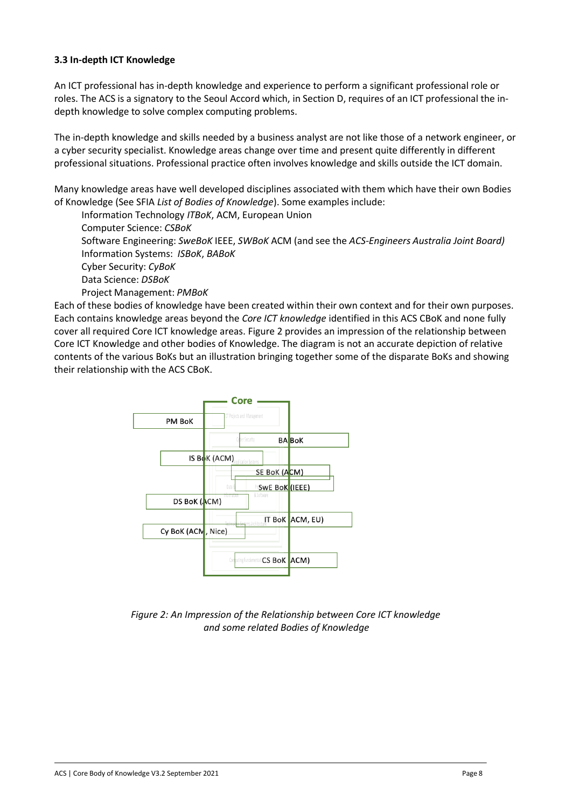# **3.3 In-depth ICT Knowledge**

An ICT professional has in-depth knowledge and experience to perform a significant professional role or roles. The ACS is a signatory to the Seoul Accord which, in Section D, requires of an ICT professional the indepth knowledge to solve complex computing problems.

The in-depth knowledge and skills needed by a business analyst are not like those of a network engineer, or a cyber security specialist. Knowledge areas change over time and present quite differently in different professional situations. Professional practice often involves knowledge and skills outside the ICT domain.

Many knowledge areas have well developed disciplines associated with them which have their own Bodies of Knowledge (See SFIA *List of Bodies of Knowledge*). Some examples include:

Information Technology *ITBoK*, ACM, European Union Computer Science: *CSBoK* Software Engineering: *SweBoK* IEEE, *SWBoK* ACM (and see the *ACS-Engineers Australia Joint Board)* Information Systems: *ISBoK*, *BABoK* Cyber Security: *CyBoK* Data Science: *DSBoK* Project Management: *PMBoK*

Each of these bodies of knowledge have been created within their own context and for their own purposes. Each contains knowledge areas beyond the *Core ICT knowledge* identified in this ACS CBoK and none fully cover all required Core ICT knowledge areas. Figure 2 provides an impression of the relationship between Core ICT Knowledge and other bodies of Knowledge. The diagram is not an accurate depiction of relative contents of the various BoKs but an illustration bringing together some of the disparate BoKs and showing their relationship with the ACS CBoK.



*Figure 2: An Impression of the Relationship between Core ICT knowledge and some related Bodies of Knowledge*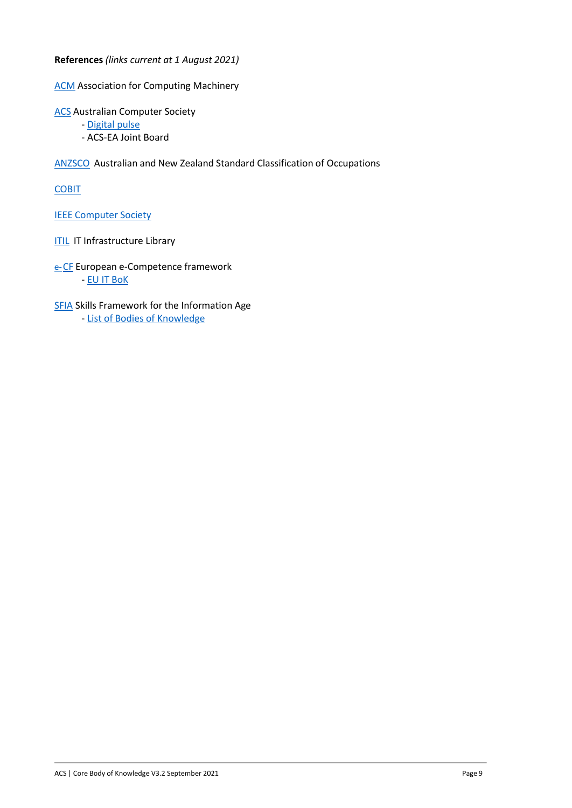**References** *(links current at 1 August 2021)*

**[ACM](https://www.acm.org/)** Association for Computing Machinery

**[ACS](https://www.acs.org.au/)** Australian Computer Society

- [Digital pulse](https://www2.deloitte.com/au/en/pages/economics/articles/australias-digital-pulse.html)
- ACS-EA Joint Board

[ANZSCO](https://www.abs.gov.au/AUSSTATS/abs%40.nsf/allprimarymainfeatures/FCC055588D3EBA19CA2584A8000E7889?opendocument) Australian and New Zealand Standard Classification of Occupations

**[COBIT](https://www.itgovernance.co.uk/cobit)** 

IEEE [Computer](https://www.computer.org/) Society

**[ITIL](https://www.ibm.com/cloud/learn/it-infrastructure-library) IT Infrastructure Library** 

e-[CF](https://www.ecompetences.eu/) European e-Competence framework - [EU IT](https://www.ecompetences.eu/eu_ict_bok/) BoK

**[SFIA](https://sfia-online.org/en/sfia-8/making-the-next-version-of-sfia#autotoc-item-autotoc-3) Skills Framework for the Information Age** - List of Bodies of [Knowledge](https://sfia-online.org/en/tools-and-resources/bodies-of-knowledge/list-of-bodies-of-knowledge)